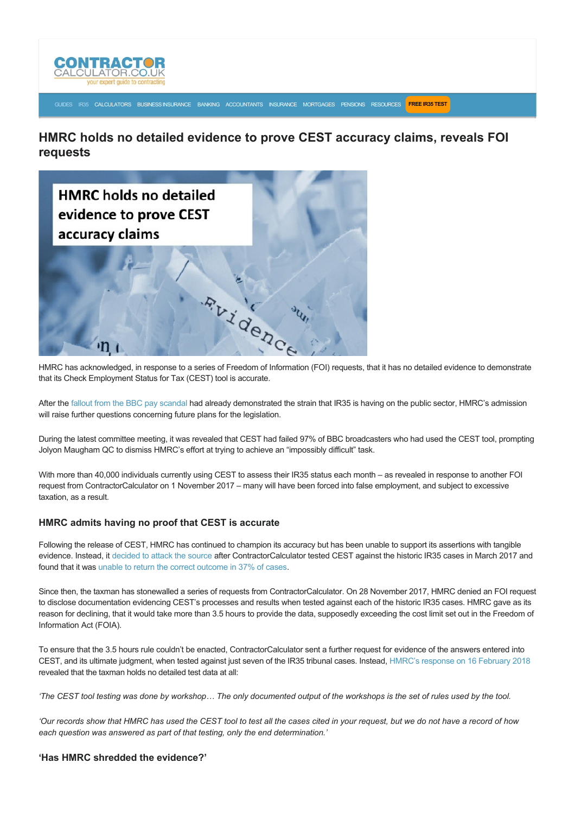

[GUIDES](https://www.contractorcalculator.co.uk/articles.aspx) [IR35](https://www.contractorcalculator.co.uk/ir35.aspx) [CALCULATORS](https://www.contractorcalculator.co.uk/calculators.aspx) [BUSINESS INSURANCE](https://www.contractorcalculator.co.uk/contractor_insurances.aspx) [BANKING](https://www.contractorcalculator.co.uk/contractor_banking.aspx) [ACCOUNTANTS](https://www.contractorcalculator.co.uk/contractor_accountant_services.aspx) [INSURANCE](https://www.contractorcalculator.co.uk/insurance.aspx) [MORTGAGES](https://www.contractorcalculator.co.uk/contractor_mortgages.aspx) [PENSIONS](https://www.contractorcalculator.co.uk/contractor_pensions.aspx) [RESOURCES](https://www.contractorcalculator.co.uk/contractor_resources.aspx) **[FREE IR35 TEST](https://www.ir35testing.co.uk/TakeTheTest)**

**HMRC holds no detailed evidence to prove CEST accuracy claims, reveals FOI requests**



HMRC has acknowledged, in response to a series of Freedom of Information (FOI) requests, that it has no detailed evidence to demonstrate that its Check Employment Status for Tax (CEST) tool is accurate.

After the [fallout from the BBC pay scandal](https://www.contractorcalculator.co.uk/bbc_pay_fiasco_highlights_mess_public_sector_ir35_539610_news.aspx) had already demonstrated the strain that IR35 is having on the public sector, HMRC's admission will raise further questions concerning future plans for the legislation.

During the latest committee meeting, it was revealed that CEST had failed 97% of BBC broadcasters who had used the CEST tool, prompting Jolyon Maugham QC to dismiss HMRC's effort at trying to achieve an "impossibly difficult" task.

With more than 40,000 individuals currently using CEST to assess their IR35 status each month – as revealed in response to another FOI request from ContractorCalculator on 1 November 2017 – many will have been forced into false employment, and subject to excessive taxation, as a result.

## **HMRC admits having no proof that CEST is accurate**

Following the release of CEST, HMRC has continued to champion its accuracy but has been unable to support its assertions with tangible evidence. Instead, it [decided to attack the source](https://www.contractorcalculator.co.uk/hmrcs_defend_failed_ir35_tool_disturbing_535310_news.aspx) after ContractorCalculator tested CEST against the historic IR35 cases in March 2017 and found that it was [unable to return the correct outcome in 37% of cases.](https://www.contractorcalculator.co.uk/hmrc_ir35_tool_creates_farce_533410_news.aspx)

Since then, the taxman has stonewalled a series of requests from ContractorCalculator. On 28 November 2017, HMRC denied an FOI request to disclose documentation evidencing CEST's processes and results when tested against each of the historic IR35 cases. HMRC gave as its reason for declining, that it would take more than 3.5 hours to provide the data, supposedly exceeding the cost limit set out in the Freedom of Information Act (FOIA).

To ensure that the 3.5 hours rule couldn't be enacted, ContractorCalculator sent a further request for evidence of the answers entered into CEST, and its ultimate judgment, when tested against just seven of the IR35 tribunal cases. Instead, [HMRC's response on 16 February 2018](https://www.contractorcalculator.co.uk/docs/20180219-HMRCFOIRequest-CC.pdf) revealed that the taxman holds no detailed test data at all:

*'The CEST tool testing was done by workshop… The only documented output of the workshops is the set of rules used by the tool.*

*'Our records show that HMRC has used the CEST tool to test all the cases cited in your request, but we do not have a record of how each question was answered as part of that testing, only the end determination.'*

**'Has HMRC shredded the evidence?'**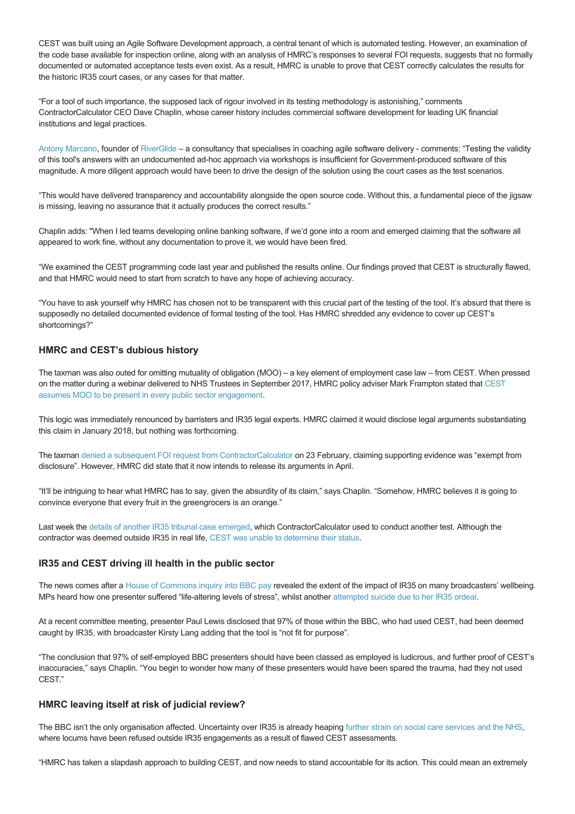CEST was built using an Agile Software Development approach, a central tenant of which is automated testing. However, an examination of the code base available for inspection online, along with an analysis of HMRC's responses to several FOI requests, suggests that no formally documented or automated acceptance tests even exist. As a result, HMRC is unable to prove that CEST correctly calculates the results for the historic IR35 court cases, or any cases for that matter.

"For a tool of such importance, the supposed lack of rigour involved in its testing methodology is astonishing," comments ContractorCalculator CEO Dave Chaplin, whose career history includes commercial software development for leading UK financial institutions and legal practices.

[Antony Marcano](http://antonymarcano.com/), founder of [RiverGlide](https://riverglide.com/) – a consultancy that specialises in coaching agile software delivery comments: "Testing the validity of this tool's answers with an undocumented ad-hoc approach via workshops is insufficient for Government-produced software of this magnitude. A more diligent approach would have been to drive the design of the solution using the court cases as the test scenarios.

"This would have delivered transparency and accountability alongside the open source code. Without this, a fundamental piece of the jigsaw is missing, leaving no assurance that it actually produces the correct results."

Chaplin adds: "When I led teams developing online banking software, if we'd gone into a room and emerged claiming that the software all appeared to work fine, without any documentation to prove it, we would have been fired.

"We examined the CEST programming code last year and published the results online. Our findings proved that CEST is structurally flawed, and that HMRC would need to start from scratch to have any hope of achieving accuracy.

"You have to ask yourself why HMRC has chosen not to be transparent with this crucial part of the testing of the tool. It's absurd that there is supposedly no detailed documented evidence of formal testing of the tool. Has HMRC shredded any evidence to cover up CEST's shortcomings?"

# **HMRC and CEST's dubious history**

The taxman was also outed for omitting mutuality of obligation (MOO) – a key element of employment case law – from CEST. When pressed [on the matter during a webinar delivered to NHS Trustees in September 2017, HMRC policy adviser Mark Frampton stated that CEST](https://www.contractorcalculator.co.uk/hmrc_key_ir35_case_law_cest_tool_537610_news.aspx) assumes MOO to be present in every public sector engagement.

This logic was immediately renounced by barristers and IR35 legal experts. HMRC claimed it would disclose legal arguments substantiating this claim in January 2018, but nothing was forthcoming.

The taxman [denied a subsequent FOI request from ContractorCalculator](https://www.contractorcalculator.co.uk/docs/20180223-HMRC-MOO-CC.pdf) on 23 February, claiming supporting evidence was "exempt from disclosure". However, HMRC did state that it now intends to release its arguments in April.

"It'll be intriguing to hear what HMRC has to say, given the absurdity of its claim," says Chaplin. "Somehow, HMRC believes it is going to convince everyone that every fruit in the greengrocers is an orange."

Last week the [details of another IR35 tribunal case emerged,](https://www.contractorcalculator.co.uk/mdcm_ltd_ir35_proposed_reform_rollout_539810_news.aspx) which ContractorCalculator used to conduct another test. Although the contractor was deemed outside IR35 in real life, [CEST was unable to determine their status.](https://www.contractorcalculator.co.uk/hammer_blow_hmrc_contractor_wins_latest_ir35_case_539710_news.aspx)

## **IR35 and CEST driving ill health in the public sector**

The news comes after a [House of Commons inquiry into BBC pay](https://www.parliament.uk/business/committees/committees-a-z/commons-select/digital-culture-media-and-sport-committee/inquiries/parliament-2017/inquiry2/) revealed the extent of the impact of IR35 on many broadcasters' wellbeing. MPs heard how one presenter suffered "life-altering levels of stress", whilst another [attempted suicide due to her IR35 ordeal](https://www.theguardian.com/media/2018/mar/20/bbc-presenters-reveal-constant-anxiety-caused-by-pay-arrangements).

At a recent committee meeting, presenter Paul Lewis disclosed that 97% of those within the BBC, who had used CEST, had been deemed caught by IR35, with broadcaster Kirsty Lang adding that the tool is "not fit for purpose".

"The conclusion that 97% of self-employed BBC presenters should have been classed as employed is ludicrous, and further proof of CEST's inaccuracies," says Chaplin. "You begin to wonder how many of these presenters would have been spared the trauma, had they not used CEST."

## **HMRC leaving itself at risk of judicial review?**

The BBC isn't the only organisation affected. Uncertainty over IR35 is already heaping [further strain on social care services](https://www.contractorcalculator.co.uk/public_sector_ir35_reforms_social_care_538710_news.aspx) [and the NHS](https://www.contractorcalculator.co.uk/nhs_survey_patient_care_services_crisis_ir35_537910_news.aspx). where locums have been refused outside IR35 engagements as a result of flawed CEST assessments.

"HMRC has taken a slapdash approach to building CEST, and now needs to stand accountable for its action. This could mean an extremely